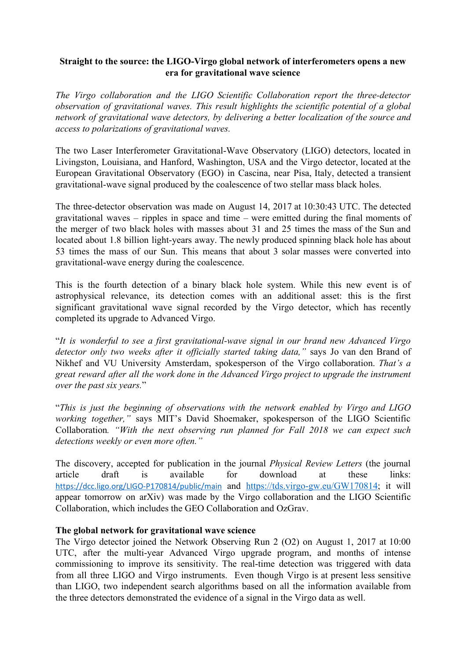## **Straight to the source: the LIGO-Virgo global network of interferometers opens a new era for gravitational wave science**

*The Virgo collaboration and the LIGO Scientific Collaboration report the three-detector observation of gravitational waves. This result highlights the scientific potential of a global network of gravitational wave detectors, by delivering a better localization of the source and access to polarizations of gravitational waves.*

The two Laser Interferometer Gravitational-Wave Observatory (LIGO) detectors, located in Livingston, Louisiana, and Hanford, Washington, USA and the Virgo detector, located at the European Gravitational Observatory (EGO) in Cascina, near Pisa, Italy, detected a transient gravitational-wave signal produced by the coalescence of two stellar mass black holes.

The three-detector observation was made on August 14, 2017 at 10:30:43 UTC. The detected gravitational waves – ripples in space and time – were emitted during the final moments of the merger of two black holes with masses about 31 and 25 times the mass of the Sun and located about 1.8 billion light-years away. The newly produced spinning black hole has about 53 times the mass of our Sun. This means that about 3 solar masses were converted into gravitational-wave energy during the coalescence.

This is the fourth detection of a binary black hole system. While this new event is of astrophysical relevance, its detection comes with an additional asset: this is the first significant gravitational wave signal recorded by the Virgo detector, which has recently completed its upgrade to Advanced Virgo.

"*It is wonderful to see a first gravitational-wave signal in our brand new Advanced Virgo detector only two weeks after it officially started taking data,"* says Jo van den Brand of Nikhef and VU University Amsterdam, spokesperson of the Virgo collaboration. *That's a great reward after all the work done in the Advanced Virgo project to upgrade the instrument over the past six years.*"

"*This is just the beginning of observations with the network enabled by Virgo and LIGO working together,"* says MIT's David Shoemaker, spokesperson of the LIGO Scientific Collaboration*. "With the next observing run planned for Fall 2018 we can expect such detections weekly or even more often."*

The discovery, accepted for publication in the journal *Physical Review Letters* (the journal article draft is available for download at these links: <https://dcc.ligo.org/LIGO-P170814/public/main> and [https://tds.virgo-gw.eu/GW170814;](https://tds.virgo-gw.eu/GW170814) it will appear tomorrow on arXiv) was made by the Virgo collaboration and the LIGO Scientific Collaboration, which includes the GEO Collaboration and OzGrav.

#### **The global network for gravitational wave science**

The Virgo detector joined the Network Observing Run 2 (O2) on August 1, 2017 at 10:00 UTC, after the multi-year Advanced Virgo upgrade program, and months of intense commissioning to improve its sensitivity. The real-time detection was triggered with data from all three LIGO and Virgo instruments. Even though Virgo is at present less sensitive than LIGO, two independent search algorithms based on all the information available from the three detectors demonstrated the evidence of a signal in the Virgo data as well.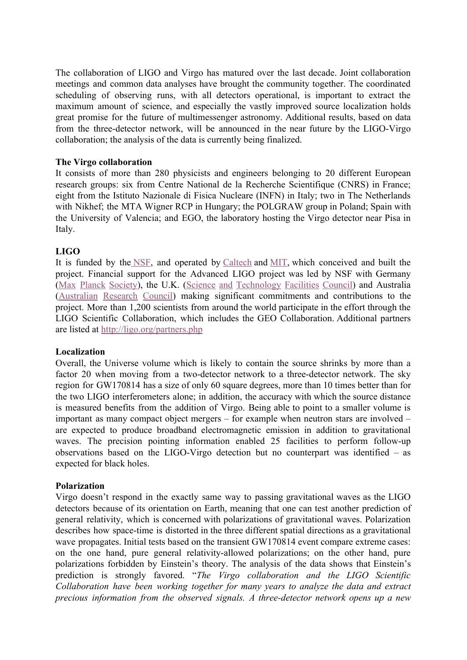The collaboration of LIGO and Virgo has matured over the last decade. Joint collaboration meetings and common data analyses have brought the community together. The coordinated scheduling of observing runs, with all detectors operational, is important to extract the maximum amount of science, and especially the vastly improved source localization holds great promise for the future of multimessenger astronomy. Additional results, based on data from the three-detector network, will be announced in the near future by the LIGO-Virgo collaboration; the analysis of the data is currently being finalized.

### **The Virgo collaboration**

It consists of more than 280 physicists and engineers belonging to 20 different European research groups: six from Centre National de la Recherche Scientifique (CNRS) in France; eight from the Istituto Nazionale di Fisica Nucleare (INFN) in Italy; two in The Netherlands with Nikhef; the MTA Wigner RCP in Hungary; the POLGRAW group in Poland; Spain with the University of Valencia; and EGO, the laboratory hosting the Virgo detector near Pisa in Italy.

## **LIGO**

It is funded by th[e NSF,](https://www.nsf.gov/) and operated by [Caltech](http://mit.pr-optout.com/Tracking.aspx?Data=HHL%3d8158%3d4-%3eLCE9%3b4%3b8%3f%26SDG%3c90%3a.&RE=MC&RI=5328430&Preview=False&DistributionActionID=37239&Action=Follow+Link) and [MIT,](http://mit.pr-optout.com/Tracking.aspx?Data=HHL%3d8158%3d4-%3eLCE9%3b4%3b8%3f%26SDG%3c90%3a.&RE=MC&RI=5328430&Preview=False&DistributionActionID=37240&Action=Follow+Link) which conceived and built the project. Financial support for the Advanced LIGO project was led by NSF with Germany (Max Planck [Society\)](http://mit.pr-optout.com/Tracking.aspx?Data=HHL%3d8158%3d4-%3eLCE9%3b4%3b8%3f%26SDG%3c90%3a.&RE=MC&RI=5328430&Preview=False&DistributionActionID=37238&Action=Follow+Link), the U.K. (Science and [Technology](http://mit.pr-optout.com/Tracking.aspx?Data=HHL%3d8158%3d4-%3eLCE9%3b4%3b8%3f%26SDG%3c90%3a.&RE=MC&RI=5328430&Preview=False&DistributionActionID=37237&Action=Follow+Link) Facilities Council) and Australia [\(Australian](http://mit.pr-optout.com/Tracking.aspx?Data=HHL%3d8158%3d4-%3eLCE9%3b4%3b8%3f%26SDG%3c90%3a.&RE=MC&RI=5328430&Preview=False&DistributionActionID=37236&Action=Follow+Link) Research Council) making significant commitments and contributions to the project. More than 1,200 scientists from around the world participate in the effort through the LIGO Scientific Collaboration, which includes the GEO Collaboration. Additional partners are listed at [http://ligo.org/partners.php](http://mit.pr-optout.com/Tracking.aspx?Data=HHL%3d8158%3d4-%3eLCE9%3b4%3b8%3f%26SDG%3c90%3a.&RE=MC&RI=5328430&Preview=False&DistributionActionID=37231&Action=Follow+Link)

#### **Localization**

Overall, the Universe volume which is likely to contain the source shrinks by more than a factor 20 when moving from a two-detector network to a three-detector network. The sky region for GW170814 has a size of only 60 square degrees, more than 10 times better than for the two LIGO interferometers alone; in addition, the accuracy with which the source distance is measured benefits from the addition of Virgo. Being able to point to a smaller volume is important as many compact object mergers – for example when neutron stars are involved – are expected to produce broadband electromagnetic emission in addition to gravitational waves. The precision pointing information enabled 25 facilities to perform follow-up observations based on the LIGO-Virgo detection but no counterpart was identified – as expected for black holes.

#### **Polarization**

Virgo doesn't respond in the exactly same way to passing gravitational waves as the LIGO detectors because of its orientation on Earth, meaning that one can test another prediction of general relativity, which is concerned with polarizations of gravitational waves. Polarization describes how space-time is distorted in the three different spatial directions as a gravitational wave propagates. Initial tests based on the transient GW170814 event compare extreme cases: on the one hand, pure general relativity-allowed polarizations; on the other hand, pure polarizations forbidden by Einstein's theory. The analysis of the data shows that Einstein's prediction is strongly favored. "*The Virgo collaboration and the LIGO Scientific Collaboration have been working together for many years to analyze the data and extract precious information from the observed signals. A three-detector network opens up a new*